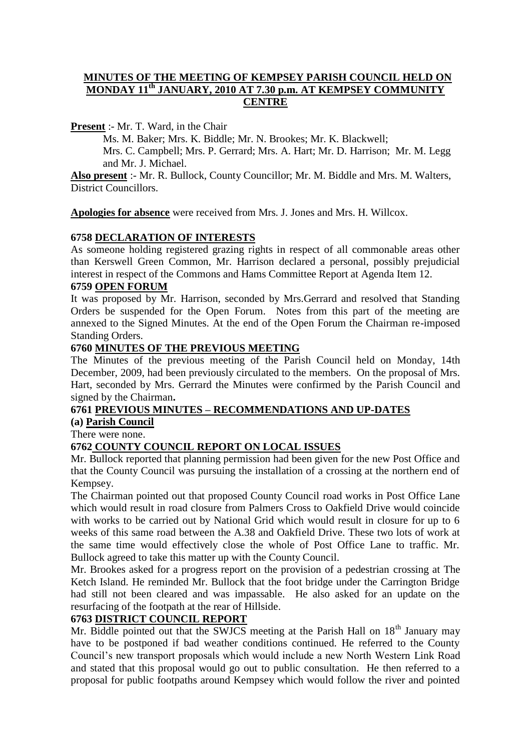#### **MINUTES OF THE MEETING OF KEMPSEY PARISH COUNCIL HELD ON MONDAY 11th JANUARY, 2010 AT 7.30 p.m. AT KEMPSEY COMMUNITY CENTRE**

**Present** :- Mr. T. Ward, in the Chair

Ms. M. Baker; Mrs. K. Biddle; Mr. N. Brookes; Mr. K. Blackwell; Mrs. C. Campbell; Mrs. P. Gerrard; Mrs. A. Hart; Mr. D. Harrison; Mr. M. Legg and Mr. J. Michael.

**Also present** :- Mr. R. Bullock, County Councillor; Mr. M. Biddle and Mrs. M. Walters, District Councillors.

**Apologies for absence** were received from Mrs. J. Jones and Mrs. H. Willcox.

#### **6758 DECLARATION OF INTERESTS**

As someone holding registered grazing rights in respect of all commonable areas other than Kerswell Green Common, Mr. Harrison declared a personal, possibly prejudicial interest in respect of the Commons and Hams Committee Report at Agenda Item 12.

### **6759 OPEN FORUM**

It was proposed by Mr. Harrison, seconded by Mrs.Gerrard and resolved that Standing Orders be suspended for the Open Forum. Notes from this part of the meeting are annexed to the Signed Minutes. At the end of the Open Forum the Chairman re-imposed Standing Orders.

#### **6760 MINUTES OF THE PREVIOUS MEETING**

The Minutes of the previous meeting of the Parish Council held on Monday, 14th December, 2009, had been previously circulated to the members. On the proposal of Mrs. Hart, seconded by Mrs. Gerrard the Minutes were confirmed by the Parish Council and signed by the Chairman**.**

## **6761 PREVIOUS MINUTES – RECOMMENDATIONS AND UP-DATES**

# **(a) Parish Council**

There were none.

#### **6762 COUNTY COUNCIL REPORT ON LOCAL ISSUES**

Mr. Bullock reported that planning permission had been given for the new Post Office and that the County Council was pursuing the installation of a crossing at the northern end of Kempsey.

The Chairman pointed out that proposed County Council road works in Post Office Lane which would result in road closure from Palmers Cross to Oakfield Drive would coincide with works to be carried out by National Grid which would result in closure for up to 6 weeks of this same road between the A.38 and Oakfield Drive. These two lots of work at the same time would effectively close the whole of Post Office Lane to traffic. Mr. Bullock agreed to take this matter up with the County Council.

Mr. Brookes asked for a progress report on the provision of a pedestrian crossing at The Ketch Island. He reminded Mr. Bullock that the foot bridge under the Carrington Bridge had still not been cleared and was impassable. He also asked for an update on the resurfacing of the footpath at the rear of Hillside.

#### **6763 DISTRICT COUNCIL REPORT**

Mr. Biddle pointed out that the SWJCS meeting at the Parish Hall on  $18<sup>th</sup>$  January may have to be postponed if bad weather conditions continued. He referred to the County Council's new transport proposals which would include a new North Western Link Road and stated that this proposal would go out to public consultation. He then referred to a proposal for public footpaths around Kempsey which would follow the river and pointed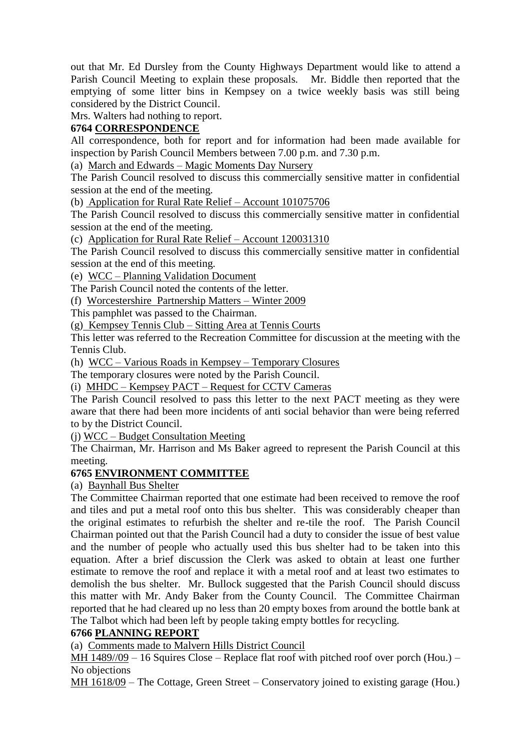out that Mr. Ed Dursley from the County Highways Department would like to attend a Parish Council Meeting to explain these proposals. Mr. Biddle then reported that the emptying of some litter bins in Kempsey on a twice weekly basis was still being considered by the District Council.

Mrs. Walters had nothing to report.

### **6764 CORRESPONDENCE**

All correspondence, both for report and for information had been made available for inspection by Parish Council Members between 7.00 p.m. and 7.30 p.m.

(a) March and Edwards – Magic Moments Day Nursery

The Parish Council resolved to discuss this commercially sensitive matter in confidential session at the end of the meeting.

(b) Application for Rural Rate Relief – Account 101075706

The Parish Council resolved to discuss this commercially sensitive matter in confidential session at the end of the meeting.

(c) Application for Rural Rate Relief – Account 120031310

The Parish Council resolved to discuss this commercially sensitive matter in confidential session at the end of this meeting.

(e) WCC – Planning Validation Document

The Parish Council noted the contents of the letter.

(f) Worcestershire Partnership Matters – Winter 2009

This pamphlet was passed to the Chairman.

(g) Kempsey Tennis Club – Sitting Area at Tennis Courts

This letter was referred to the Recreation Committee for discussion at the meeting with the Tennis Club.

(h) WCC – Various Roads in Kempsey – Temporary Closures

The temporary closures were noted by the Parish Council.

(i) MHDC – Kempsey PACT – Request for CCTV Cameras

The Parish Council resolved to pass this letter to the next PACT meeting as they were aware that there had been more incidents of anti social behavior than were being referred to by the District Council.

(j) WCC – Budget Consultation Meeting

The Chairman, Mr. Harrison and Ms Baker agreed to represent the Parish Council at this meeting.

#### **6765 ENVIRONMENT COMMITTEE**

### (a) Baynhall Bus Shelter

The Committee Chairman reported that one estimate had been received to remove the roof and tiles and put a metal roof onto this bus shelter. This was considerably cheaper than the original estimates to refurbish the shelter and re-tile the roof. The Parish Council Chairman pointed out that the Parish Council had a duty to consider the issue of best value and the number of people who actually used this bus shelter had to be taken into this equation. After a brief discussion the Clerk was asked to obtain at least one further estimate to remove the roof and replace it with a metal roof and at least two estimates to demolish the bus shelter. Mr. Bullock suggested that the Parish Council should discuss this matter with Mr. Andy Baker from the County Council. The Committee Chairman reported that he had cleared up no less than 20 empty boxes from around the bottle bank at The Talbot which had been left by people taking empty bottles for recycling.

#### **6766 PLANNING REPORT**

(a) Comments made to Malvern Hills District Council

MH 1489//09 – 16 Squires Close – Replace flat roof with pitched roof over porch (Hou.) – No objections

MH 1618/09 – The Cottage, Green Street – Conservatory joined to existing garage (Hou.)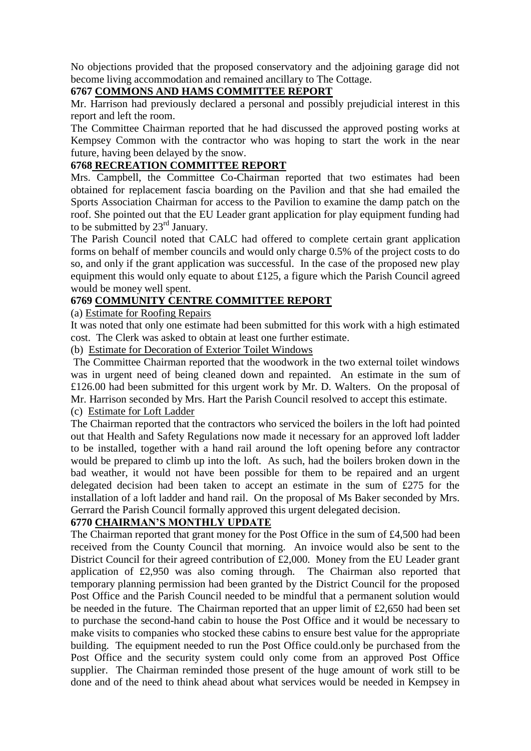No objections provided that the proposed conservatory and the adjoining garage did not become living accommodation and remained ancillary to The Cottage.

### **6767 COMMONS AND HAMS COMMITTEE REPORT**

Mr. Harrison had previously declared a personal and possibly prejudicial interest in this report and left the room.

The Committee Chairman reported that he had discussed the approved posting works at Kempsey Common with the contractor who was hoping to start the work in the near future, having been delayed by the snow.

## **6768 RECREATION COMMITTEE REPORT**

Mrs. Campbell, the Committee Co-Chairman reported that two estimates had been obtained for replacement fascia boarding on the Pavilion and that she had emailed the Sports Association Chairman for access to the Pavilion to examine the damp patch on the roof. She pointed out that the EU Leader grant application for play equipment funding had to be submitted by  $23<sup>rd</sup>$  January.

The Parish Council noted that CALC had offered to complete certain grant application forms on behalf of member councils and would only charge 0.5% of the project costs to do so, and only if the grant application was successful. In the case of the proposed new play equipment this would only equate to about £125, a figure which the Parish Council agreed would be money well spent.

## **6769 COMMUNITY CENTRE COMMITTEE REPORT**

#### (a) Estimate for Roofing Repairs

It was noted that only one estimate had been submitted for this work with a high estimated cost. The Clerk was asked to obtain at least one further estimate.

(b) Estimate for Decoration of Exterior Toilet Windows

The Committee Chairman reported that the woodwork in the two external toilet windows was in urgent need of being cleaned down and repainted. An estimate in the sum of £126.00 had been submitted for this urgent work by Mr. D. Walters. On the proposal of Mr. Harrison seconded by Mrs. Hart the Parish Council resolved to accept this estimate.

(c) Estimate for Loft Ladder

The Chairman reported that the contractors who serviced the boilers in the loft had pointed out that Health and Safety Regulations now made it necessary for an approved loft ladder to be installed, together with a hand rail around the loft opening before any contractor would be prepared to climb up into the loft. As such, had the boilers broken down in the bad weather, it would not have been possible for them to be repaired and an urgent delegated decision had been taken to accept an estimate in the sum of £275 for the installation of a loft ladder and hand rail. On the proposal of Ms Baker seconded by Mrs. Gerrard the Parish Council formally approved this urgent delegated decision.

### **6770 CHAIRMAN'S MONTHLY UPDATE**

The Chairman reported that grant money for the Post Office in the sum of £4,500 had been received from the County Council that morning. An invoice would also be sent to the District Council for their agreed contribution of £2,000. Money from the EU Leader grant application of £2,950 was also coming through. The Chairman also reported that temporary planning permission had been granted by the District Council for the proposed Post Office and the Parish Council needed to be mindful that a permanent solution would be needed in the future. The Chairman reported that an upper limit of £2,650 had been set to purchase the second-hand cabin to house the Post Office and it would be necessary to make visits to companies who stocked these cabins to ensure best value for the appropriate building. The equipment needed to run the Post Office could.only be purchased from the Post Office and the security system could only come from an approved Post Office supplier. The Chairman reminded those present of the huge amount of work still to be done and of the need to think ahead about what services would be needed in Kempsey in